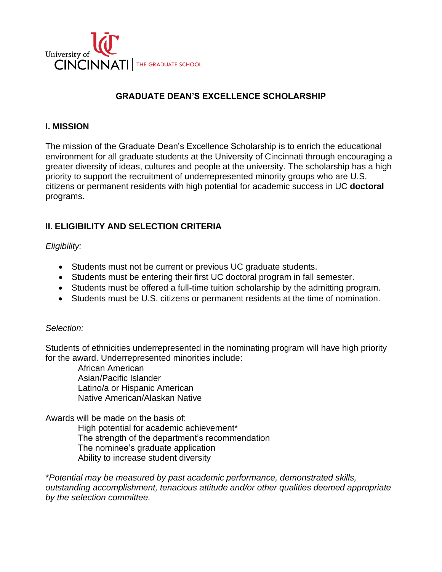

# **GRADUATE DEAN'S EXCELLENCE SCHOLARSHIP**

#### **I. MISSION**

The mission of the Graduate Dean's Excellence Scholarship is to enrich the educational environment for all graduate students at the University of Cincinnati through encouraging a greater diversity of ideas, cultures and people at the university. The scholarship has a high priority to support the recruitment of underrepresented minority groups who are U.S. citizens or permanent residents with high potential for academic success in UC **doctoral** programs.

## **II. ELIGIBILITY AND SELECTION CRITERIA**

*Eligibility:*

- Students must not be current or previous UC graduate students.
- Students must be entering their first UC doctoral program in fall semester.
- Students must be offered a full-time tuition scholarship by the admitting program.
- Students must be U.S. citizens or permanent residents at the time of nomination.

#### *Selection:*

Students of ethnicities underrepresented in the nominating program will have high priority for the award. Underrepresented minorities include:

African American Asian/Pacific Islander Latino/a or Hispanic American Native American/Alaskan Native

Awards will be made on the basis of:

High potential for academic achievement\* The strength of the department's recommendation The nominee's graduate application Ability to increase student diversity

\**Potential may be measured by past academic performance, demonstrated skills, outstanding accomplishment, tenacious attitude and/or other qualities deemed appropriate by the selection committee.*